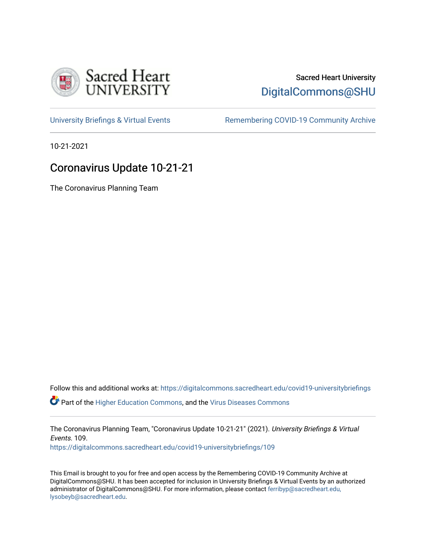

## Sacred Heart University [DigitalCommons@SHU](https://digitalcommons.sacredheart.edu/)

[University Briefings & Virtual Events](https://digitalcommons.sacredheart.edu/covid19-universitybriefings) **Remembering COVID-19 Community Archive** 

10-21-2021

# Coronavirus Update 10-21-21

The Coronavirus Planning Team

Follow this and additional works at: [https://digitalcommons.sacredheart.edu/covid19-universitybriefings](https://digitalcommons.sacredheart.edu/covid19-universitybriefings?utm_source=digitalcommons.sacredheart.edu%2Fcovid19-universitybriefings%2F109&utm_medium=PDF&utm_campaign=PDFCoverPages)

**C** Part of the [Higher Education Commons,](http://network.bepress.com/hgg/discipline/1245?utm_source=digitalcommons.sacredheart.edu%2Fcovid19-universitybriefings%2F109&utm_medium=PDF&utm_campaign=PDFCoverPages) and the [Virus Diseases Commons](http://network.bepress.com/hgg/discipline/998?utm_source=digitalcommons.sacredheart.edu%2Fcovid19-universitybriefings%2F109&utm_medium=PDF&utm_campaign=PDFCoverPages)

The Coronavirus Planning Team, "Coronavirus Update 10-21-21" (2021). University Briefings & Virtual Events. 109.

[https://digitalcommons.sacredheart.edu/covid19-universitybriefings/109](https://digitalcommons.sacredheart.edu/covid19-universitybriefings/109?utm_source=digitalcommons.sacredheart.edu%2Fcovid19-universitybriefings%2F109&utm_medium=PDF&utm_campaign=PDFCoverPages)

This Email is brought to you for free and open access by the Remembering COVID-19 Community Archive at DigitalCommons@SHU. It has been accepted for inclusion in University Briefings & Virtual Events by an authorized administrator of DigitalCommons@SHU. For more information, please contact [ferribyp@sacredheart.edu,](mailto:ferribyp@sacredheart.edu,%20lysobeyb@sacredheart.edu) [lysobeyb@sacredheart.edu](mailto:ferribyp@sacredheart.edu,%20lysobeyb@sacredheart.edu).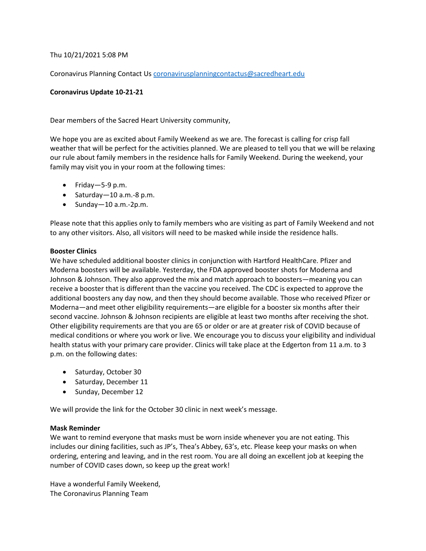Thu 10/21/2021 5:08 PM

Coronavirus Planning Contact Us [coronavirusplanningcontactus@sacredheart.edu](mailto:coronavirusplanningcontactus@sacredheart.edu)

### **Coronavirus Update 10-21-21**

Dear members of the Sacred Heart University community,

We hope you are as excited about Family Weekend as we are. The forecast is calling for crisp fall weather that will be perfect for the activities planned. We are pleased to tell you that we will be relaxing our rule about family members in the residence halls for Family Weekend. During the weekend, your family may visit you in your room at the following times:

- Friday—5-9 p.m.
- Saturday—10 a.m.-8 p.m.
- Sunday  $-10$  a.m.-2p.m.

Please note that this applies only to family members who are visiting as part of Family Weekend and not to any other visitors. Also, all visitors will need to be masked while inside the residence halls.

#### **Booster Clinics**

We have scheduled additional booster clinics in conjunction with Hartford HealthCare. Pfizer and Moderna boosters will be available. Yesterday, the FDA approved booster shots for Moderna and Johnson & Johnson. They also approved the mix and match approach to boosters—meaning you can receive a booster that is different than the vaccine you received. The CDC is expected to approve the additional boosters any day now, and then they should become available. Those who received Pfizer or Moderna—and meet other eligibility requirements—are eligible for a booster six months after their second vaccine. Johnson & Johnson recipients are eligible at least two months after receiving the shot. Other eligibility requirements are that you are 65 or older or are at greater risk of COVID because of medical conditions or where you work or live. We encourage you to discuss your eligibility and individual health status with your primary care provider. Clinics will take place at the Edgerton from 11 a.m. to 3 p.m. on the following dates:

- Saturday, October 30
- Saturday, December 11
- Sunday, December 12

We will provide the link for the October 30 clinic in next week's message.

#### **Mask Reminder**

We want to remind everyone that masks must be worn inside whenever you are not eating. This includes our dining facilities, such as JP's, Thea's Abbey, 63's, etc. Please keep your masks on when ordering, entering and leaving, and in the rest room. You are all doing an excellent job at keeping the number of COVID cases down, so keep up the great work!

Have a wonderful Family Weekend, The Coronavirus Planning Team